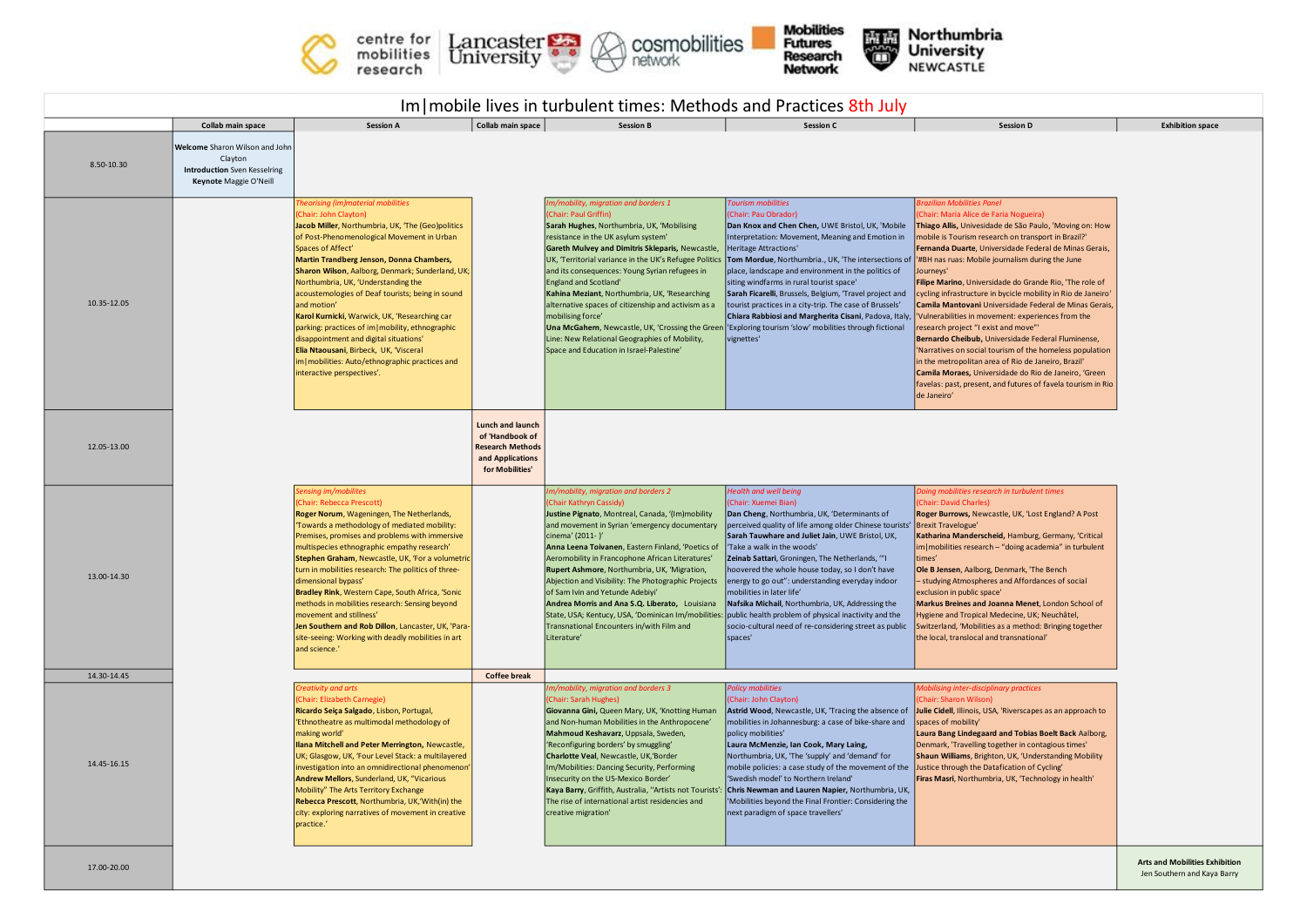





Northumbria<br>University<br>NEWCASTLE 等

| Im   mobile lives in turbulent times: Methods and Practices 8th July |                                                                                                                                 |                                                                                                                                                                                                                                                                                                                                                                                                                                                                                                                                                                                                                                                                         |                                                                                                       |                                                                                                                                                                                                                                                                                                                                                                                                                                                                                                                                                                                                                                                                      |                                                                                                                                                                                                                                                                                                                                                                                                                                                                                                                                                                                                                                                                                                         |                                                                                                                                                                                                                                                                                                                                                                                                                                                                                                                                                                                                                                                                                                                                                                                                                                                                |                                       |  |  |  |  |  |
|----------------------------------------------------------------------|---------------------------------------------------------------------------------------------------------------------------------|-------------------------------------------------------------------------------------------------------------------------------------------------------------------------------------------------------------------------------------------------------------------------------------------------------------------------------------------------------------------------------------------------------------------------------------------------------------------------------------------------------------------------------------------------------------------------------------------------------------------------------------------------------------------------|-------------------------------------------------------------------------------------------------------|----------------------------------------------------------------------------------------------------------------------------------------------------------------------------------------------------------------------------------------------------------------------------------------------------------------------------------------------------------------------------------------------------------------------------------------------------------------------------------------------------------------------------------------------------------------------------------------------------------------------------------------------------------------------|---------------------------------------------------------------------------------------------------------------------------------------------------------------------------------------------------------------------------------------------------------------------------------------------------------------------------------------------------------------------------------------------------------------------------------------------------------------------------------------------------------------------------------------------------------------------------------------------------------------------------------------------------------------------------------------------------------|----------------------------------------------------------------------------------------------------------------------------------------------------------------------------------------------------------------------------------------------------------------------------------------------------------------------------------------------------------------------------------------------------------------------------------------------------------------------------------------------------------------------------------------------------------------------------------------------------------------------------------------------------------------------------------------------------------------------------------------------------------------------------------------------------------------------------------------------------------------|---------------------------------------|--|--|--|--|--|
| 8.50-10.30                                                           | Collab main space<br>Welcome Sharon Wilson and John<br>Clayton<br><b>Introduction</b> Sven Kesselring<br>Keynote Maggie O'Neill | <b>Session A</b>                                                                                                                                                                                                                                                                                                                                                                                                                                                                                                                                                                                                                                                        | Collab main space                                                                                     | <b>Session B</b>                                                                                                                                                                                                                                                                                                                                                                                                                                                                                                                                                                                                                                                     | <b>Session C</b>                                                                                                                                                                                                                                                                                                                                                                                                                                                                                                                                                                                                                                                                                        | <b>Session D</b>                                                                                                                                                                                                                                                                                                                                                                                                                                                                                                                                                                                                                                                                                                                                                                                                                                               | <b>Exhibition space</b>               |  |  |  |  |  |
| 10.35-12.05                                                          |                                                                                                                                 | heorising (im)material mobilities<br>Chair: John Clayton)<br>Jacob Miller, Northumbria, UK, 'The (Geo)politics<br>of Post-Phenomenological Movement in Urban<br>Spaces of Affect'<br>Martin Trandberg Jenson, Donna Chambers,<br>Sharon Wilson, Aalborg, Denmark; Sunderland, UK;<br>Northumbria, UK, 'Understanding the<br>acoustemologies of Deaf tourists; being in sound<br>and motion'<br>Karol Kurnicki, Warwick, UK, 'Researching car<br>parking: practices of im   mobility, ethnographic<br>disappointment and digital situations'<br>Elia Ntaousani, Birbeck, UK, 'Visceral<br>im   mobilities: Auto/ethnographic practices and<br>interactive perspectives'. |                                                                                                       | Im/mobility, migration and borders 1<br>(Chair: Paul Griffin)<br>Sarah Hughes, Northumbria, UK, 'Mobilising<br>resistance in the UK asylum system'<br>Gareth Mulvey and Dimitris Skleparis, Newcastle,<br>UK, 'Territorial variance in the UK's Refugee Politics<br>and its consequences: Young Syrian refugees in<br><b>England and Scotland'</b><br>Kahina Meziant, Northumbria, UK, 'Researching<br>alternative spaces of citizenship and activism as a<br>mobilising force'<br>Line: New Relational Geographies of Mobility,<br>Space and Education in Israel-Palestine'                                                                                         | Tourism mobilities<br>(Chair: Pau Obrador)<br>Dan Knox and Chen Chen, UWE Bristol, UK, 'Mobile<br>Interpretation: Movement, Meaning and Emotion in<br><b>Heritage Attractions'</b><br>Tom Mordue, Northumbria., UK, 'The intersections of  '#BH nas ruas: Mobile journalism during the June<br>place, landscape and environment in the politics of<br>siting windfarms in rural tourist space'<br>Sarah Ficarelli, Brussels, Belgium, 'Travel project and<br>tourist practices in a city-trip. The case of Brussels'<br>Chiara Rabbiosi and Margherita Cisani, Padova, Italy<br>Una McGahern, Newcastle, UK, 'Crossing the Green   'Exploring tourism 'slow' mobilities through fictional<br>vignettes' | razilian Mobilities Panel<br>Chair: Maria Alice de Faria Nogueira)<br>Thiago Allis, Univesidade de São Paulo, 'Moving on: How<br>mobile is Tourism research on transport in Brazil?'<br>Fernanda Duarte, Universidade Federal de Minas Gerais,<br>Journeys'<br>Filipe Marino, Universidade do Grande Rio, 'The role of<br>cycling infrastructure in bycicle mobility in Rio de Janeiro'<br>Camila Mantovani Universidade Federal de Minas Gerais,<br>Vulnerabilities in movement: experiences from the<br>research project "I exist and move"<br>Bernardo Cheibub, Universidade Federal Fluminense,<br>'Narratives on social tourism of the homeless population<br>in the metropolitan area of Rio de Janeiro, Brazil'<br>Camila Moraes, Universidade do Rio de Janeiro, 'Green<br>favelas: past, present, and futures of favela tourism in Rio<br>de Janeiro' |                                       |  |  |  |  |  |
| 12.05-13.00                                                          |                                                                                                                                 |                                                                                                                                                                                                                                                                                                                                                                                                                                                                                                                                                                                                                                                                         | Lunch and launch<br>of 'Handbook of<br><b>Research Methods</b><br>and Applications<br>for Mobilities' |                                                                                                                                                                                                                                                                                                                                                                                                                                                                                                                                                                                                                                                                      |                                                                                                                                                                                                                                                                                                                                                                                                                                                                                                                                                                                                                                                                                                         |                                                                                                                                                                                                                                                                                                                                                                                                                                                                                                                                                                                                                                                                                                                                                                                                                                                                |                                       |  |  |  |  |  |
| 13.00-14.30                                                          |                                                                                                                                 | ensing im/mobilites<br>Chair: Rebecca Prescott)<br>Roger Norum, Wageningen, The Netherlands,<br>Towards a methodology of mediated mobility:<br>Premises, promises and problems with immersive<br>multispecies ethnographic empathy research'<br>Stephen Graham, Newcastle, UK, 'For a volumetric<br>turn in mobilities research: The politics of three-<br>dimensional bypass'<br>Bradley Rink, Western Cape, South Africa, 'Sonic<br>methods in mobilities research: Sensing beyond<br>movement and stillness'<br>Jen Southern and Rob Dillon, Lancaster, UK, 'Para-<br>site-seeing: Working with deadly mobilities in art<br>and science."                            |                                                                                                       | m/mobility, migration and borders 2<br>(Chair Kathryn Cassidy)<br>Justine Pignato, Montreal, Canada, '(Im)mobility<br>and movement in Syrian 'emergency documentary<br>cinema' (2011-Y<br>Anna Leena Toivanen, Eastern Finland, 'Poetics of<br>Aeromobility in Francophone African Literatures'<br>Rupert Ashmore, Northumbria, UK, 'Migration,<br>Abjection and Visibility: The Photographic Projects<br>of Sam Ivin and Yetunde Adebiyi'<br>Andrea Morris and Ana S.Q. Liberato, Louisiana<br>State, USA; Kentucy, USA, 'Dominican Im/mobilities: public health problem of physical inactivity and the<br>Transnational Encounters in/with Film and<br>Literature' | <b>Health and well being</b><br>(Chair: Xuemei Bian)<br>Dan Cheng, Northumbria, UK, 'Determinants of<br>perceived quality of life among older Chinese tourists' Brexit Travelogue'<br>Sarah Tauwhare and Juliet Jain, UWE Bristol, UK,<br>'Take a walk in the woods'<br>Zeinab Sattari, Groningen, The Netherlands, "'I<br>hoovered the whole house today, so I don't have<br>energy to go out": understanding everyday indoor<br>mobilities in later life'<br>Nafsika Michail, Northumbria, UK, Addressing the<br>socio-cultural need of re-considering street as public<br>spaces'                                                                                                                    | Doing mobilities research in turbulent times<br>Chair: David Charles)<br>Roger Burrows, Newcastle, UK, 'Lost England? A Post<br>Katharina Manderscheid, Hamburg, Germany, 'Critical<br>im   mobilities research - "doing academia" in turbulent<br>times'<br>Ole B Jensen, Aalborg, Denmark, 'The Bench<br>- studying Atmospheres and Affordances of social<br>exclusion in public space'<br>Markus Breines and Joanna Menet, London School of<br>Hygiene and Tropical Medecine, UK; Neuchâtel,<br>Switzerland, 'Mobilities as a method: Bringing together<br>the local, translocal and transnational'                                                                                                                                                                                                                                                         |                                       |  |  |  |  |  |
| 14.30-14.45                                                          |                                                                                                                                 |                                                                                                                                                                                                                                                                                                                                                                                                                                                                                                                                                                                                                                                                         | <b>Coffee break</b>                                                                                   |                                                                                                                                                                                                                                                                                                                                                                                                                                                                                                                                                                                                                                                                      |                                                                                                                                                                                                                                                                                                                                                                                                                                                                                                                                                                                                                                                                                                         |                                                                                                                                                                                                                                                                                                                                                                                                                                                                                                                                                                                                                                                                                                                                                                                                                                                                |                                       |  |  |  |  |  |
| 14.45-16.15                                                          |                                                                                                                                 | Creativity and arts<br>Chair: Elizabeth Carnegie)<br>Ricardo Seiça Salgado, Lisbon, Portugal,<br>'Ethnotheatre as multimodal methodology of<br>making world'<br>Ilana Mitchell and Peter Merrington, Newcastle,<br>UK; Glasgow, UK, 'Four Level Stack: a multilayered<br>investigation into an omnidirectional phenomenon'<br>Andrew Mellors, Sunderland, UK, "Vicarious<br>Mobility" The Arts Territory Exchange<br>Rebecca Prescott, Northumbria, UK,'With(in) the<br>city: exploring narratives of movement in creative<br>practice.'                                                                                                                                |                                                                                                       | m/mobility, migration and borders 3<br>Chair: Sarah Hughes)<br>Giovanna Gini, Queen Mary, UK, 'Knotting Human<br>and Non-human Mobilities in the Anthropocene'<br>Mahmoud Keshavarz, Uppsala, Sweden,<br>'Reconfiguring borders' by smuggling'<br>Charlotte Veal, Newcastle, UK,'Border<br>Im/Mobilities: Dancing Security, Performing<br>Insecurity on the US-Mexico Border'<br>Kaya Barry, Griffith, Australia, "Artists not Tourists":<br>The rise of international artist residencies and<br>creative migration'                                                                                                                                                 | <b>Policy mobilities</b><br>(Chair: John Clayton)<br>mobilities in Johannesburg: a case of bike-share and<br>policy mobilities'<br>Laura McMenzie, Ian Cook, Mary Laing,<br>Northumbria, UK, 'The 'supply' and 'demand' for<br>mobile policies: a case study of the movement of the Justice through the Datafication of Cycling'<br>'Swedish model' to Northern Ireland'<br>Chris Newman and Lauren Napier, Northumbria, UK,<br>'Mobilities beyond the Final Frontier: Considering the<br>next paradigm of space travellers'                                                                                                                                                                            | Mobilising inter-disciplinary practices<br>(Chair: Sharon Wilson)<br>Astrid Wood, Newcastle, UK, 'Tracing the absence of Julie Cidell, Illinois, USA, 'Riverscapes as an approach to<br>spaces of mobility'<br>Laura Bang Lindegaard and Tobias Boelt Back Aalborg,<br>Denmark, 'Travelling together in contagious times'<br>Shaun Williams, Brighton, UK, 'Understanding Mobility<br>Firas Masri, Northumbria, UK, 'Technology in health'                                                                                                                                                                                                                                                                                                                                                                                                                     |                                       |  |  |  |  |  |
|                                                                      |                                                                                                                                 |                                                                                                                                                                                                                                                                                                                                                                                                                                                                                                                                                                                                                                                                         |                                                                                                       |                                                                                                                                                                                                                                                                                                                                                                                                                                                                                                                                                                                                                                                                      |                                                                                                                                                                                                                                                                                                                                                                                                                                                                                                                                                                                                                                                                                                         |                                                                                                                                                                                                                                                                                                                                                                                                                                                                                                                                                                                                                                                                                                                                                                                                                                                                | <b>Arts and Mobilities Exhibition</b> |  |  |  |  |  |

Jen Southern and Kaya Barry